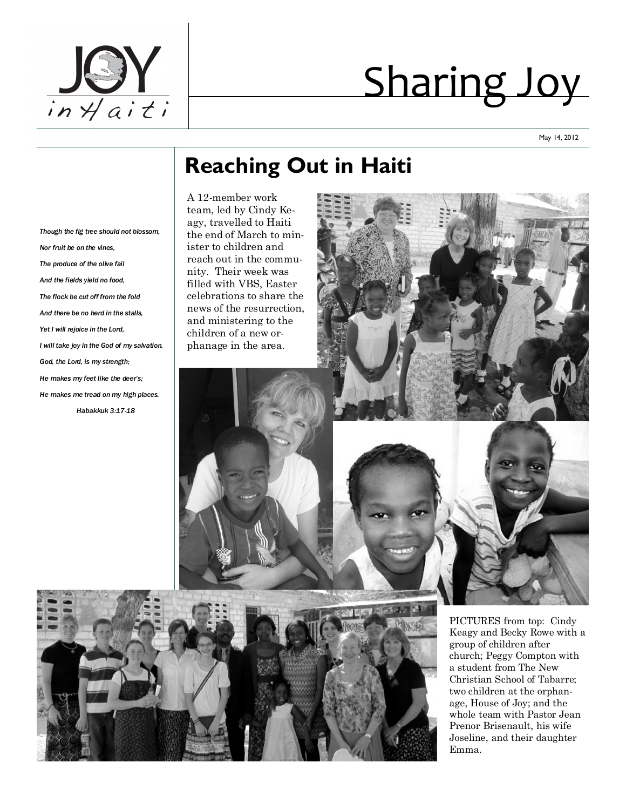

# Sharing Joy

May 14, 2012

## **Reaching Out in Haiti**

*Though the fig tree should not blossom, Nor fruit be on the vines, The produce of the olive fail And the fields yield no food, The flock be cut off from the fold And there be no herd in the stalls, Yet I will rejoice in the Lord, I will take joy in the God of my salvation. God, the Lord, is my strength; He makes my feet like the deer's; He makes me tread on my high places. Habakkuk 3:17-18*

A 12-member work team, led by Cindy Keagy, travelled to Haiti the end of March to minister to children and reach out in the community. Their week was filled with VBS, Easter celebrations to share the news of the resurrection, and ministering to the children of a new orphanage in the area.



PICTURES from top: Cindy Keagy and Becky Rowe with a group of children after church; Peggy Compton with a student from The New Christian School of Tabarre; two children at the orphanage, House of Joy; and the whole team with Pastor Jean Prenor Brisenault, his wife Joseline, and their daughter Emma.